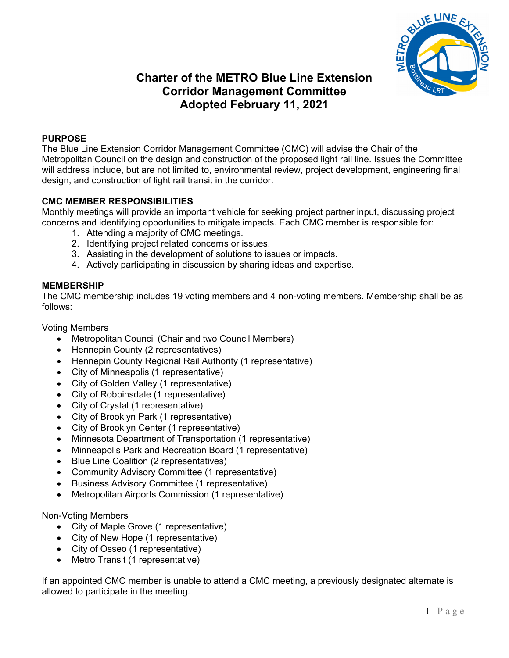

# **Charter of the METRO Blue Line Extension Corridor Management Committee Adopted February 11, 2021**

# **PURPOSE**

The Blue Line Extension Corridor Management Committee (CMC) will advise the Chair of the Metropolitan Council on the design and construction of the proposed light rail line. Issues the Committee will address include, but are not limited to, environmental review, project development, engineering final design, and construction of light rail transit in the corridor.

# **CMC MEMBER RESPONSIBILITIES**

Monthly meetings will provide an important vehicle for seeking project partner input, discussing project concerns and identifying opportunities to mitigate impacts. Each CMC member is responsible for:

- 1. Attending a majority of CMC meetings.
- 2. Identifying project related concerns or issues.
- 3. Assisting in the development of solutions to issues or impacts.
- 4. Actively participating in discussion by sharing ideas and expertise.

## **MEMBERSHIP**

The CMC membership includes 19 voting members and 4 non-voting members. Membership shall be as follows:

#### Voting Members

- Metropolitan Council (Chair and two Council Members)
- Hennepin County (2 representatives)
- Hennepin County Regional Rail Authority (1 representative)
- City of Minneapolis (1 representative)
- City of Golden Valley (1 representative)
- City of Robbinsdale (1 representative)
- City of Crystal (1 representative)
- City of Brooklyn Park (1 representative)
- City of Brooklyn Center (1 representative)
- Minnesota Department of Transportation (1 representative)
- Minneapolis Park and Recreation Board (1 representative)
- Blue Line Coalition (2 representatives)
- Community Advisory Committee (1 representative)
- Business Advisory Committee (1 representative)
- Metropolitan Airports Commission (1 representative)

#### Non-Voting Members

- City of Maple Grove (1 representative)
- City of New Hope (1 representative)
- City of Osseo (1 representative)
- Metro Transit (1 representative)

If an appointed CMC member is unable to attend a CMC meeting, a previously designated alternate is allowed to participate in the meeting.